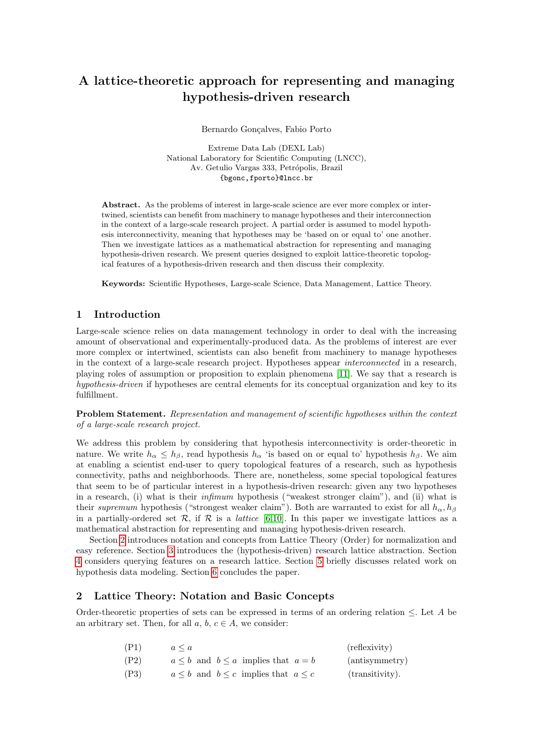# A lattice-theoretic approach for representing and managing hypothesis-driven research

Bernardo Gonçalves, Fabio Porto

Extreme Data Lab (DEXL Lab) National Laboratory for Scientific Computing (LNCC), Av. Getulio Vargas 333, Petrópolis, Brazil {bgonc,fporto}@lncc.br

Abstract. As the problems of interest in large-scale science are ever more complex or intertwined, scientists can benefit from machinery to manage hypotheses and their interconnection in the context of a large-scale research project. A partial order is assumed to model hypothesis interconnectivity, meaning that hypotheses may be 'based on or equal to' one another. Then we investigate lattices as a mathematical abstraction for representing and managing hypothesis-driven research. We present queries designed to exploit lattice-theoretic topological features of a hypothesis-driven research and then discuss their complexity.

Keywords: Scientific Hypotheses, Large-scale Science, Data Management, Lattice Theory.

#### <span id="page-0-1"></span>1 Introduction

Large-scale science relies on data management technology in order to deal with the increasing amount of observational and experimentally-produced data. As the problems of interest are ever more complex or intertwined, scientists can also benefit from machinery to manage hypotheses in the context of a large-scale research project. Hypotheses appear interconnected in a research, playing roles of assumption or proposition to explain phenomena [\[11\]](#page-4-0). We say that a research is hypothesis-driven if hypotheses are central elements for its conceptual organization and key to its fulfillment.

Problem Statement. Representation and management of scientific hypotheses within the context of a large-scale research project.

We address this problem by considering that hypothesis interconnectivity is order-theoretic in nature. We write  $h_{\alpha} \leq h_{\beta}$ , read hypothesis  $h_{\alpha}$  'is based on or equal to' hypothesis  $h_{\beta}$ . We aim at enabling a scientist end-user to query topological features of a research, such as hypothesis connectivity, paths and neighborhoods. There are, nonetheless, some special topological features that seem to be of particular interest in a hypothesis-driven research: given any two hypotheses in a research, (i) what is their infimum hypothesis ("weakest stronger claim"), and (ii) what is their supremum hypothesis ("strongest weaker claim"). Both are warranted to exist for all  $h_{\alpha}, h_{\beta}$ in a partially-ordered set R, if R is a *lattice* [\[6,](#page-4-1)[10\]](#page-4-2). In this paper we investigate lattices as a mathematical abstraction for representing and managing hypothesis-driven research.

Section [2](#page-0-0) introduces notation and concepts from Lattice Theory (Order) for normalization and easy reference. Section [3](#page-1-0) introduces the (hypothesis-driven) research lattice abstraction. Section [4](#page-2-0) considers querying features on a research lattice. Section [5](#page-3-0) briefly discusses related work on hypothesis data modeling. Section [6](#page-4-3) concludes the paper.

### <span id="page-0-0"></span>2 Lattice Theory: Notation and Basic Concepts

Order-theoretic properties of sets can be expressed in terms of an ordering relation ≤. Let A be an arbitrary set. Then, for all  $a, b, c \in A$ , we consider:

| (P1) | $a \leq a$                                        | (reflexivity)   |
|------|---------------------------------------------------|-----------------|
| (P2) | $a \leq b$ and $b \leq a$ implies that $a = b$    | (antisymmetry)  |
| (P3) | $a \leq b$ and $b \leq c$ implies that $a \leq c$ | (transitivity). |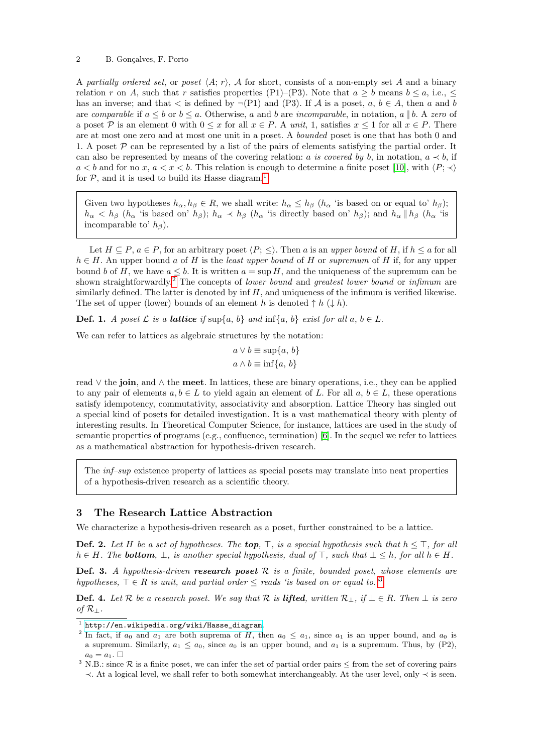#### 2 B. Gonçalves, F. Porto

A partially ordered set, or poset  $\langle A; r \rangle$ , A for short, consists of a non-empty set A and a binary relation r on A, such that r satisfies properties (P1)–(P3). Note that  $a \geq b$  means  $b \leq a$ , i.e.,  $\leq$ has an inverse; and that  $\lt$  is defined by  $\neg (P1)$  and  $(P3)$ . If  $\mathcal A$  is a poset,  $a, b \in \mathcal A$ , then a and b are comparable if  $a \leq b$  or  $b \leq a$ . Otherwise, a and b are incomparable, in notation, a || b. A zero of a poset P is an element 0 with  $0 \le x$  for all  $x \in P$ . A unit, 1, satisfies  $x \le 1$  for all  $x \in P$ . There are at most one zero and at most one unit in a poset. A bounded poset is one that has both 0 and 1. A poset  $\mathcal P$  can be represented by a list of the pairs of elements satisfying the partial order. It can also be represented by means of the covering relation: a is covered by b, in notation,  $a \prec b$ , if  $a < b$  and for no x,  $a < x < b$ . This relation is enough to determine a finite poset [\[10\]](#page-4-2), with  $\langle P; \prec \rangle$ for  $P$ , and it is used to build its Hasse diagram.<sup>[1](#page-1-1)</sup>

Given two hypotheses  $h_{\alpha}, h_{\beta} \in R$ , we shall write:  $h_{\alpha} \leq h_{\beta}$  ( $h_{\alpha}$  'is based on or equal to'  $h_{\beta}$ );  $h_{\alpha} < h_{\beta}$  ( $h_{\alpha}$  'is based on'  $h_{\beta}$ );  $h_{\alpha} \prec h_{\beta}$  ( $h_{\alpha}$  'is directly based on'  $h_{\beta}$ ); and  $h_{\alpha}$  || $h_{\beta}$  ( $h_{\alpha}$  'is incomparable to'  $h_{\beta}$ ).

Let  $H \subseteq P$ ,  $a \in P$ , for an arbitrary poset  $\langle P; \leq \rangle$ . Then a is an upper bound of H, if  $h \leq a$  for all  $h \in H$ . An upper bound a of H is the least upper bound of H or supremum of H if, for any upper bound b of H, we have  $a \leq b$ . It is written  $a = \sup H$ , and the uniqueness of the supremum can be shown straightforwardly.<sup>[2](#page-1-2)</sup> The concepts of *lower bound* and *greatest lower bound* or *infimum* are similarly defined. The latter is denoted by inf  $H$ , and uniqueness of the infimum is verified likewise. The set of upper (lower) bounds of an element h is denoted  $\uparrow h$  ( $\downarrow h$ ).

**Def. 1.** A poset  $\mathcal L$  is a **lattice** if sup $\{a, b\}$  and  $\inf\{a, b\}$  exist for all  $a, b \in L$ .

We can refer to lattices as algebraic structures by the notation:

$$
a \lor b \equiv \sup\{a, b\}
$$

$$
a \land b \equiv \inf\{a, b\}
$$

read ∨ the join, and ∧ the meet. In lattices, these are binary operations, i.e., they can be applied to any pair of elements  $a, b \in L$  to yield again an element of L. For all  $a, b \in L$ , these operations satisfy idempotency, commutativity, associativity and absorption. Lattice Theory has singled out a special kind of posets for detailed investigation. It is a vast mathematical theory with plenty of interesting results. In Theoretical Computer Science, for instance, lattices are used in the study of semantic properties of programs (e.g., confluence, termination) [\[6\]](#page-4-1). In the sequel we refer to lattices as a mathematical abstraction for hypothesis-driven research.

The inf–sup existence property of lattices as special posets may translate into neat properties of a hypothesis-driven research as a scientific theory.

## <span id="page-1-0"></span>3 The Research Lattice Abstraction

We characterize a hypothesis-driven research as a poset, further constrained to be a lattice.

**Def. 2.** Let H be a set of hypotheses. The **top**,  $\top$ , is a special hypothesis such that  $h \leq \top$ , for all  $h \in H$ . The **bottom**,  $\bot$ , is another special hypothesis, dual of  $\top$ , such that  $\bot \leq h$ , for all  $h \in H$ .

<span id="page-1-4"></span>**Def. 3.** A hypothesis-driven research poset  $R$  is a finite, bounded poset, whose elements are hypotheses,  $\top \in R$  is unit, and partial order  $\leq$  reads 'is based on or equal to.<sup>[3](#page-1-3)</sup>

**Def. 4.** Let R be a research poset. We say that R is **lifted**, written  $\mathcal{R}_\perp$ , if  $\perp \in R$ . Then  $\perp$  is zero of  $\mathcal{R}_\perp$ .

<span id="page-1-1"></span> $^{\rm 1}$  [http://en.wikipedia.org/wiki/Hasse\\_diagram](http://en.wikipedia.org/wiki/Hasse_diagram).

<span id="page-1-2"></span><sup>&</sup>lt;sup>2</sup> In fact, if  $a_0$  and  $a_1$  are both suprema of H, then  $a_0 \le a_1$ , since  $a_1$  is an upper bound, and  $a_0$  is a supremum. Similarly,  $a_1 \le a_0$ , since  $a_0$  is an upper bound, and  $a_1$  is a supremum. Thus, by (P2),  $a_0 = a_1$ .  $\Box$ 

<span id="page-1-3"></span><sup>&</sup>lt;sup>3</sup> N.B.: since  $R$  is a finite poset, we can infer the set of partial order pairs  $\leq$  from the set of covering pairs ≺. At a logical level, we shall refer to both somewhat interchangeably. At the user level, only ≺ is seen.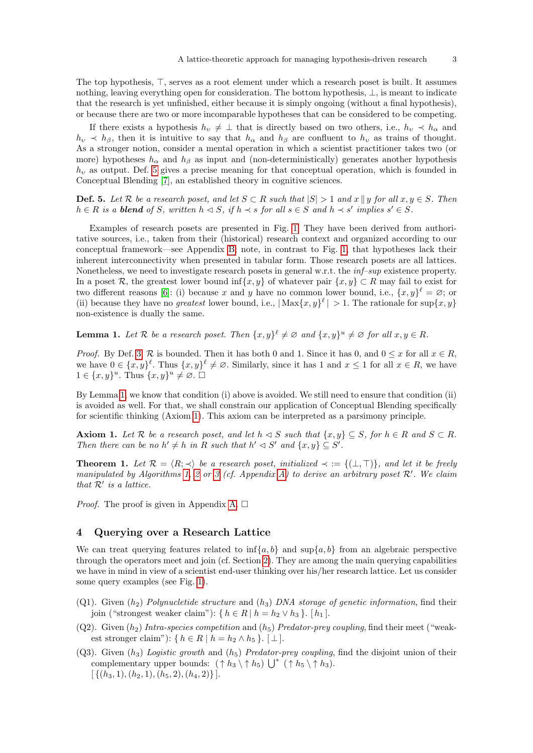The top hypothesis,  $\top$ , serves as a root element under which a research poset is built. It assumes nothing, leaving everything open for consideration. The bottom hypothesis, ⊥, is meant to indicate that the research is yet unfinished, either because it is simply ongoing (without a final hypothesis), or because there are two or more incomparable hypotheses that can be considered to be competing.

If there exists a hypothesis  $h_v \neq \perp$  that is directly based on two others, i.e.,  $h_v \prec h_\alpha$  and  $h_v \prec h_\beta$ , then it is intuitive to say that  $h_\alpha$  and  $h_\beta$  are confluent to  $h_v$  as trains of thought. As a stronger notion, consider a mental operation in which a scientist practitioner takes two (or more) hypotheses  $h_{\alpha}$  and  $h_{\beta}$  as input and (non-deterministically) generates another hypothesis  $h<sub>v</sub>$  as output. Def. [5](#page-2-1) gives a precise meaning for that conceptual operation, which is founded in Conceptual Blending [\[7\]](#page-4-4), an established theory in cognitive sciences.

<span id="page-2-1"></span>**Def. 5.** Let R be a research poset, and let  $S \subset R$  such that  $|S| > 1$  and  $x \parallel y$  for all  $x, y \in S$ . Then  $h \in R$  is a **blend** of S, written  $h \triangleleft S$ , if  $h \prec s$  for all  $s \in S$  and  $h \prec s'$  implies  $s' \in S$ .

Examples of research posets are presented in Fig. [1.](#page-3-1) They have been derived from authoritative sources, i.e., taken from their (historical) research context and organized according to our conceptual framework—see Appendix [B;](#page-6-0) note, in contrast to Fig. [1,](#page-3-1) that hypotheses lack their inherent interconnectivity when presented in tabular form. Those research posets are all lattices. Nonetheless, we need to investigate research posets in general w.r.t. the  $\inf$ -sup existence property. In a poset R, the greatest lower bound inf $\{x, y\}$  of whatever pair  $\{x, y\} \subset R$  may fail to exist for two different reasons [\[6\]](#page-4-1): (i) because x and y have no common lower bound, i.e.,  $\{x, y\}^{\ell} = \varnothing$ ; or (ii) because they have no greatest lower bound, i.e.,  $|\text{Max}\{x, y\}^{\ell}| > 1$ . The rationale for sup $\{x, y\}$ non-existence is dually the same.

<span id="page-2-2"></span>**Lemma 1.** Let R be a research poset. Then  $\{x, y\}^{\ell} \neq \emptyset$  and  $\{x, y\}^u \neq \emptyset$  for all  $x, y \in R$ .

*Proof.* By Def. [3,](#page-1-4) R is bounded. Then it has both 0 and 1. Since it has 0, and  $0 \le x$  for all  $x \in R$ , we have  $0 \in \{x, y\}^{\ell}$ . Thus  $\{x, y\}^{\ell} \neq \emptyset$ . Similarly, since it has 1 and  $x \leq 1$  for all  $x \in R$ , we have  $1 \in \{x, y\}^u$ . Thus  $\{x, y\}^u \neq \emptyset$ .  $\Box$ 

By Lemma [1,](#page-2-2) we know that condition (i) above is avoided. We still need to ensure that condition (ii) is avoided as well. For that, we shall constrain our application of Conceptual Blending specifically for scientific thinking (Axiom [1\)](#page-2-3). This axiom can be interpreted as a parsimony principle.

<span id="page-2-3"></span>**Axiom 1.** Let R be a research poset, and let  $h \triangleleft S$  such that  $\{x, y\} \subseteq S$ , for  $h \in R$  and  $S \subset R$ . Then there can be no  $h' \neq h$  in R such that  $h' \triangleleft S'$  and  $\{x, y\} \subseteq S'$ .

<span id="page-2-4"></span>**Theorem 1.** Let  $\mathcal{R} = \langle R; \prec \rangle$  be a research poset, initialized  $\prec := \{(\bot, \top)\}\$ , and let it be freely manipulated by Algorithms [1,](#page-5-0) [2](#page-5-1) or [3](#page-6-1) (cf. Appendix [A\)](#page-4-5) to derive an arbitrary poset  $\mathcal{R}'$ . We claim that  $\mathcal{R}'$  is a lattice.

*Proof.* The proof is given in Appendix [A.](#page-4-5)  $\square$ 

## <span id="page-2-0"></span>4 Querying over a Research Lattice

We can treat querying features related to  $\inf\{a, b\}$  and  $\sup\{a, b\}$  from an algebraic perspective through the operators meet and join (cf. Section [2\)](#page-0-0). They are among the main querying capabilities we have in mind in view of a scientist end-user thinking over his/her research lattice. Let us consider some query examples (see Fig. [1\)](#page-3-1).

- (Q1). Given  $(h_2)$  Polynucletide structure and  $(h_3)$  DNA storage of genetic information, find their join ("strongest weaker claim"): { $h \in R | h = h_2 \vee h_3$  }. [ $h_1$ ].
- (Q2). Given  $(h_2)$  Intra-species competition and  $(h_5)$  Predator-prey coupling, find their meet ("weakest stronger claim"): { $h \in R \mid h = h_2 \wedge h_5$  }.  $\lceil \perp \rceil$ .
- (Q3). Given  $(h_3)$  Logistic growth and  $(h_5)$  Predator-prey coupling, find the disjoint union of their complementary upper bounds:  $(\uparrow h_3 \setminus \uparrow h_5) \bigcup^* (\uparrow h_5 \setminus \uparrow h_3)$ .  $\left[ \{ (h_3, 1), (h_2, 1), (h_5, 2), (h_4, 2) \} \right].$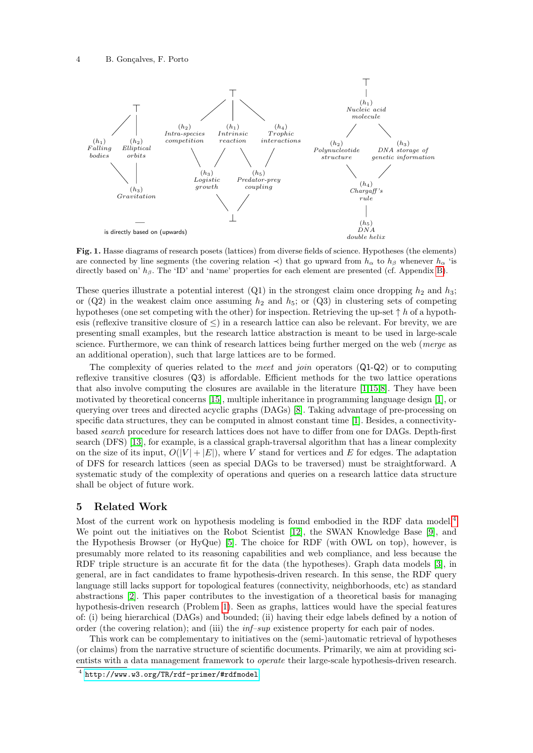

<span id="page-3-1"></span>Fig. 1. Hasse diagrams of research posets (lattices) from diverse fields of science. Hypotheses (the elements) are connected by line segments (the covering relation  $\prec$ ) that go upward from  $h_{\alpha}$  to  $h_{\beta}$  whenever  $h_{\alpha}$  'is directly based on'  $h_{\beta}$ . The 'ID' and 'name' properties for each element are presented (cf. Appendix [B\)](#page-6-0).

These queries illustrate a potential interest  $(Q1)$  in the strongest claim once dropping  $h_2$  and  $h_3$ ; or  $(Q2)$  in the weakest claim once assuming  $h_2$  and  $h_5$ ; or  $(Q3)$  in clustering sets of competing hypotheses (one set competing with the other) for inspection. Retrieving the up-set  $\uparrow h$  of a hypothesis (reflexive transitive closure of ≤) in a research lattice can also be relevant. For brevity, we are presenting small examples, but the research lattice abstraction is meant to be used in large-scale science. Furthermore, we can think of research lattices being further merged on the web (*merge* as an additional operation), such that large lattices are to be formed.

The complexity of queries related to the *meet* and *join* operators (Q1-Q2) or to computing reflexive transitive closures (Q3) is affordable. Efficient methods for the two lattice operations that also involve computing the closures are available in the literature [\[1,](#page-4-6)[15](#page-4-7)[,8\]](#page-4-8). They have been motivated by theoretical concerns [\[15\]](#page-4-7), multiple inheritance in programming language design [\[1\]](#page-4-6), or querying over trees and directed acyclic graphs (DAGs) [\[8\]](#page-4-8). Taking advantage of pre-processing on specific data structures, they can be computed in almost constant time [\[1\]](#page-4-6). Besides, a connectivitybased search procedure for research lattices does not have to differ from one for DAGs. Depth-first search (DFS) [\[13\]](#page-4-9), for example, is a classical graph-traversal algorithm that has a linear complexity on the size of its input,  $O(|V| + |E|)$ , where V stand for vertices and E for edges. The adaptation of DFS for research lattices (seen as special DAGs to be traversed) must be straightforward. A systematic study of the complexity of operations and queries on a research lattice data structure shall be object of future work.

#### <span id="page-3-0"></span>5 Related Work

Most of the current work on hypothesis modeling is found embodied in the RDF data model.<sup>[4](#page-3-2)</sup> We point out the initiatives on the Robot Scientist [\[12\]](#page-4-10), the SWAN Knowledge Base [\[9\]](#page-4-11), and the Hypothesis Browser (or HyQue) [\[5\]](#page-4-12). The choice for RDF (with OWL on top), however, is presumably more related to its reasoning capabilities and web compliance, and less because the RDF triple structure is an accurate fit for the data (the hypotheses). Graph data models [\[3\]](#page-4-13), in general, are in fact candidates to frame hypothesis-driven research. In this sense, the RDF query language still lacks support for topological features (connectivity, neighborhoods, etc) as standard abstractions [\[2\]](#page-4-14). This paper contributes to the investigation of a theoretical basis for managing hypothesis-driven research (Problem [1\)](#page-0-1). Seen as graphs, lattices would have the special features of: (i) being hierarchical (DAGs) and bounded; (ii) having their edge labels defined by a notion of order (the covering relation); and (iii) the inf–sup existence property for each pair of nodes.

This work can be complementary to initiatives on the (semi-)automatic retrieval of hypotheses (or claims) from the narrative structure of scientific documents. Primarily, we aim at providing scientists with a data management framework to operate their large-scale hypothesis-driven research.

<span id="page-3-2"></span><sup>4</sup> <http://www.w3.org/TR/rdf-primer/#rdfmodel>.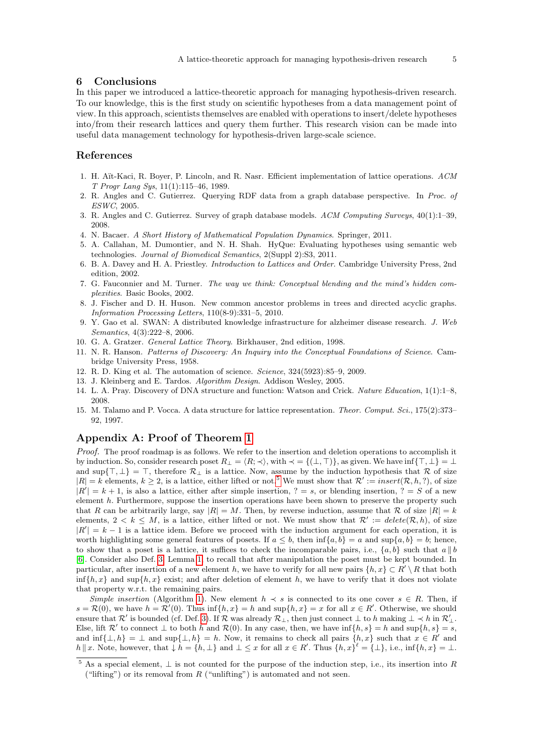#### <span id="page-4-3"></span>6 Conclusions

In this paper we introduced a lattice-theoretic approach for managing hypothesis-driven research. To our knowledge, this is the first study on scientific hypotheses from a data management point of view. In this approach, scientists themselves are enabled with operations to insert/delete hypotheses into/from their research lattices and query them further. This research vision can be made into useful data management technology for hypothesis-driven large-scale science.

## References

- <span id="page-4-6"></span>1. H. Aït-Kaci, R. Boyer, P. Lincoln, and R. Nasr. Efficient implementation of lattice operations. ACM T Progr Lang Sys, 11(1):115–46, 1989.
- <span id="page-4-14"></span>2. R. Angles and C. Gutierrez. Querying RDF data from a graph database perspective. In Proc. of ESWC, 2005.
- <span id="page-4-13"></span>3. R. Angles and C. Gutierrez. Survey of graph database models. ACM Computing Surveys, 40(1):1–39, 2008.
- <span id="page-4-16"></span>4. N. Bacaer. A Short History of Mathematical Population Dynamics. Springer, 2011.
- <span id="page-4-12"></span>5. A. Callahan, M. Dumontier, and N. H. Shah. HyQue: Evaluating hypotheses using semantic web technologies. Journal of Biomedical Semantics, 2(Suppl 2):S3, 2011.
- <span id="page-4-1"></span>6. B. A. Davey and H. A. Priestley. Introduction to Lattices and Order. Cambridge University Press, 2nd edition, 2002.
- <span id="page-4-4"></span>7. G. Fauconnier and M. Turner. The way we think: Conceptual blending and the mind's hidden complexities. Basic Books, 2002.
- <span id="page-4-8"></span>8. J. Fischer and D. H. Huson. New common ancestor problems in trees and directed acyclic graphs. Information Processing Letters, 110(8-9):331–5, 2010.
- <span id="page-4-11"></span>9. Y. Gao et al. SWAN: A distributed knowledge infrastructure for alzheimer disease research. J. Web Semantics, 4(3):222–8, 2006.
- <span id="page-4-2"></span>10. G. A. Gratzer. General Lattice Theory. Birkhauser, 2nd edition, 1998.
- <span id="page-4-0"></span>11. N. R. Hanson. Patterns of Discovery: An Inquiry into the Conceptual Foundations of Science. Cambridge University Press, 1958.
- <span id="page-4-10"></span>12. R. D. King et al. The automation of science. Science, 324(5923):85–9, 2009.
- <span id="page-4-9"></span>13. J. Kleinberg and E. Tardos. Algorithm Design. Addison Wesley, 2005.
- <span id="page-4-17"></span>14. L. A. Pray. Discovery of DNA structure and function: Watson and Crick. Nature Education, 1(1):1–8, 2008.
- <span id="page-4-7"></span>15. M. Talamo and P. Vocca. A data structure for lattice representation. Theor. Comput. Sci., 175(2):373– 92, 1997.

## <span id="page-4-5"></span>Appendix A: Proof of Theorem [1](#page-2-4)

*Proof.* The proof roadmap is as follows. We refer to the insertion and deletion operations to accomplish it by induction. So, consider research poset  $R_{\perp} = \langle R; \prec \rangle$ , with  $\prec = \{(\perp, \top)\}\$ , as given. We have inf $\{\top, \bot\} = \bot$ and sup $\{\top, \bot\} = \top$ , therefore  $\mathcal{R}_{\bot}$  is a lattice. Now, assume by the induction hypothesis that R of size  $|R| = k$  elements,  $k \geq 2$ , is a lattice, either lifted or not.<sup>[5](#page-4-15)</sup> We must show that  $\mathcal{R}' := insert(\mathcal{R}, h, ?)$ , of size  $|R'| = k + 1$ , is also a lattice, either after simple insertion,  $? = s$ , or blending insertion,  $? = S$  of a new element  $h$ . Furthermore, suppose the insertion operations have been shown to preserve the property such that R can be arbitrarily large, say  $|R| = M$ . Then, by reverse induction, assume that R of size  $|R| = k$ elements,  $2 < k \leq M$ , is a lattice, either lifted or not. We must show that  $\mathcal{R}' := delete(\mathcal{R}, h)$ , of size  $|R'| = k - 1$  is a lattice idem. Before we proceed with the induction argument for each operation, it is worth highlighting some general features of posets. If  $a < b$ , then  $\inf\{a, b\} = a$  and  $\sup\{a, b\} = b$ ; hence, to show that a poset is a lattice, it suffices to check the incomparable pairs, i.e.,  $\{a, b\}$  such that  $a \parallel b$ [\[6\]](#page-4-1). Consider also Def. [3,](#page-1-4) Lemma [1,](#page-2-2) to recall that after manipulation the poset must be kept bounded. In particular, after insertion of a new element h, we have to verify for all new pairs  $\{h, x\} \subset R' \setminus R$  that both  $\inf\{h, x\}$  and  $\sup\{h, x\}$  exist; and after deletion of element h, we have to verify that it does not violate that property w.r.t. the remaining pairs.

Simple insertion (Algorithm [1\)](#page-5-0). New element  $h \prec s$  is connected to its one cover  $s \in R$ . Then, if  $s = \mathcal{R}(0)$ , we have  $h = \mathcal{R}'(0)$ . Thus inf{ $h, x$ } = h and sup{ $h, x$ } = x for all  $x \in R'$ . Otherwise, we should ensure that  $\mathcal{R}'$  is bounded (cf. Def. [3\)](#page-1-4). If  $\mathcal{R}$  was already  $\mathcal{R}_{\perp}$ , then just connect  $\perp$  to h making  $\perp \prec h$  in  $\mathcal{R}'_{\perp}$ . Else, lift  $\mathcal{R}'$  to connect  $\perp$  to both h and  $\mathcal{R}(0)$ . In any case, then, we have  $\inf\{h, s\} = h$  and  $\sup\{h, s\} = s$ , and  $\inf\{\perp, h\} = \perp$  and  $\sup\{\perp, h\} = h$ . Now, it remains to check all pairs  $\{h, x\}$  such that  $x \in R'$  and  $h \parallel x$ . Note, however, that  $\downarrow h = \{h, \perp\}$  and  $\perp \leq x$  for all  $x \in R'$ . Thus  $\{h, x\}^{\ell} = {\perp\}$ , i.e., inf $\{h, x\} = \perp$ .

<span id="page-4-15"></span><sup>&</sup>lt;sup>5</sup> As a special element,  $\perp$  is not counted for the purpose of the induction step, i.e., its insertion into R ("lifting") or its removal from  $R$  ("unlifting") is automated and not seen.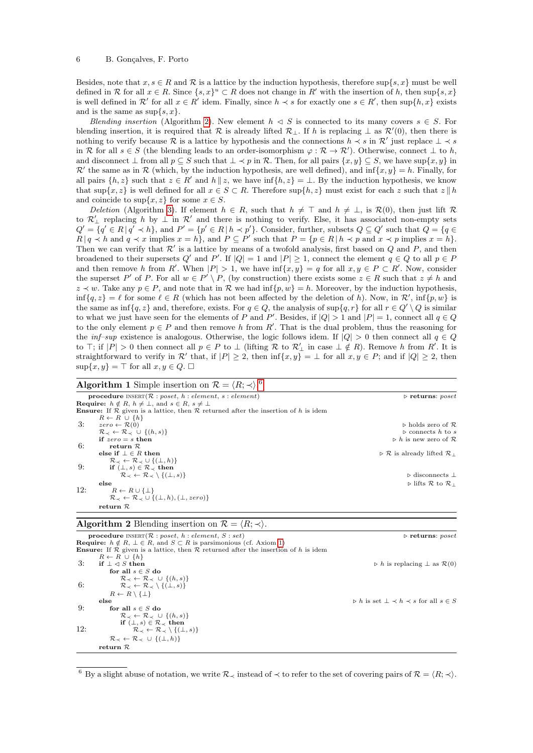Besides, note that  $x, s \in R$  and  $\mathcal R$  is a lattice by the induction hypothesis, therefore sup $\{s, x\}$  must be well defined in R for all  $x \in R$ . Since  $\{s, x\}^u \subset R$  does not change in R' with the insertion of h, then sup $\{s, x\}$ is well defined in  $\mathcal{R}'$  for all  $x \in \mathbb{R}'$  idem. Finally, since  $h \prec s$  for exactly one  $s \in \mathbb{R}'$ , then sup $\{h, x\}$  exists and is the same as  $\sup\{s, x\}.$ 

Blending insertion (Algorithm [2\)](#page-5-1). New element  $h \triangleleft S$  is connected to its many covers  $s \in S$ . For blending insertion, it is required that R is already lifted  $\mathcal{R}_{\perp}$ . If h is replacing  $\perp$  as  $\mathcal{R}'(0)$ , then there is nothing to verify because R is a lattice by hypothesis and the connections  $h \prec s$  in  $\mathcal{R}'$  just replace  $\bot \prec s$ in R for all  $s \in S$  (the blending leads to an order-isomorphism  $\varphi : \mathcal{R} \to \mathcal{R}'$ ). Otherwise, connect  $\perp$  to h, and disconnect  $\bot$  from all  $p \subseteq S$  such that  $\bot \prec p$  in R. Then, for all pairs  $\{x, y\} \subseteq S$ , we have sup $\{x, y\}$  in  $\mathcal{R}'$  the same as in  $\mathcal R$  (which, by the induction hypothesis, are well defined), and inf{x, y} = h. Finally, for all pairs  $\{h, z\}$  such that  $z \in R'$  and  $h \parallel z$ , we have  $\inf\{h, z\} = \perp$ . By the induction hypothesis, we know that  $\sup\{x, z\}$  is well defined for all  $x \in S \subset R$ . Therefore  $\sup\{h, z\}$  must exist for each z such that  $z \parallel h$ and coincide to  $\sup\{x, z\}$  for some  $x \in S$ .

Deletion (Algorithm [3\)](#page-6-1). If element  $h \in R$ , such that  $h \neq \top$  and  $h \neq \bot$ , is  $\mathcal{R}(0)$ , then just lift  $\mathcal R$ to  $\mathcal{R}'_\perp$  replacing h by  $\perp$  in  $\mathcal{R}'$  and there is nothing to verify. Else, it has associated non-empty sets  $Q' = \{q' \in R \mid q' \prec h\}$ , and  $P' = \{p' \in R \mid h \prec p'\}$ . Consider, further, subsets  $Q \subseteq Q'$  such that  $Q = \{q \in Q\}$  $R \mid q \prec h$  and  $q \prec x$  implies  $x = h$ , and  $P \subseteq P'$  such that  $P = \{p \in R \mid h \prec p \text{ and } x \prec p \text{ implies } x = h\}.$ Then we can verify that  $\mathcal{R}'$  is a lattice by means of a twofold analysis, first based on  $Q$  and  $P$ , and then broadened to their supersets Q' and P'. If  $|Q| = 1$  and  $|P| \ge 1$ , connect the element  $q \in Q$  to all  $p \in P$ and then remove h from R'. When  $|P| > 1$ , we have  $\inf\{x, y\} = q$  for all  $x, y \in P \subset R'$ . Now, consider the superset P' of P. For all  $w \in P' \setminus P$ , (by construction) there exists some  $z \in R$  such that  $z \neq h$  and  $z \prec w$ . Take any  $p \in P$ , and note that in R we had inf{p, w} = h. Moreover, by the induction hypothesis,  $\inf\{q, z\} = \ell$  for some  $\ell \in R$  (which has not been affected by the deletion of h). Now, in  $\mathcal{R}'$ ,  $\inf\{p, w\}$  is the same as  $\inf\{q, z\}$  and, therefore, exists. For  $q \in Q$ , the analysis of  $\sup\{q, r\}$  for all  $r \in Q' \setminus Q$  is similar to what we just have seen for the elements of P and  $P'$ . Besides, if  $|Q| > 1$  and  $|P| = 1$ , connect all  $q \in Q$ to the only element  $p \in P$  and then remove h from R'. That is the dual problem, thus the reasoning for the inf–sup existence is analogous. Otherwise, the logic follows idem. If  $|Q| > 0$  then connect all  $q \in Q$ to  $\top$ ; if  $|P| > 0$  then connect all  $p \in P$  to  $\bot$  (lifting R to  $\mathcal{R}'_{\bot}$  in case  $\bot \notin R$ ). Remove h from R'. It is straightforward to verify in R' that, if  $|P| \geq 2$ , then  $\inf\{x, y\} = \bot$  for all  $x, y \in P$ ; and if  $|Q| \geq 2$ , then  $\sup\{x, y\} = \top$  for all  $x, y \in Q$ .  $\square$ 

<span id="page-5-0"></span>

| <b>Algorithm 1</b> Simple insertion on $\mathcal{R} = \langle R; \prec \rangle$ . <sup>6</sup>                 |                                                                      |
|----------------------------------------------------------------------------------------------------------------|----------------------------------------------------------------------|
| <b>procedure</b> INSERT( $\mathcal{R}$ : poset, h: element, s: element)                                        | $\triangleright$ returns: poset                                      |
| <b>Require:</b> $h \notin R$ , $h \neq \bot$ , and $s \in R$ , $s \neq \bot$                                   |                                                                      |
| <b>Ensure:</b> If $\mathcal R$ given is a lattice, then $\mathcal R$ returned after the insertion of h is idem |                                                                      |
| $R \leftarrow R \cup \{h\}$                                                                                    |                                                                      |
| 3:<br>$zero \leftarrow \mathcal{R}(0)$                                                                         | $\triangleright$ holds zero of R.                                    |
| $\mathcal{R}_{\prec} \leftarrow \mathcal{R}_{\prec} \cup \{(h,s)\}\$                                           | $\triangleright$ connects h to s                                     |
| if $zero = s$ then                                                                                             | $\triangleright$ h is new zero of R                                  |
| 6:<br>return $R$                                                                                               |                                                                      |
| else if $\bot \in R$ then                                                                                      | $\triangleright \mathcal{R}$ is already lifted $\mathcal{R}_{\perp}$ |
| $\mathcal{R}_{\prec} \leftarrow \mathcal{R}_{\prec} \cup \{(\perp, h)\}\$                                      |                                                                      |
| 9:<br>if $(\perp, s) \in \mathcal{R}_{\preceq}$ then                                                           |                                                                      |
| $\mathcal{R}_{\prec} \leftarrow \mathcal{R}_{\prec} \setminus \{(\perp, s)\}\$                                 | $\triangleright$ disconnects $\perp$                                 |
| else                                                                                                           | $\triangleright$ lifts R to R $\shortparallel$                       |
| 12:<br>$R \leftarrow R \cup \{\perp\}$                                                                         |                                                                      |
| $\mathcal{R}_{\prec} \leftarrow \mathcal{R}_{\prec} \cup \{(\perp, h), (\perp, zero)\}$                        |                                                                      |
| return $\mathcal R$                                                                                            |                                                                      |

#### <span id="page-5-1"></span>Algorithm 2 Blending insertion on  $\mathcal{R} = \langle R; \prec \rangle$ .

procedure INSERT(R : poset, h : element, S : set) . returns: poset <br>Require:  $h \notin R$ ,  $\bot \in R$ , and  $S \subset R$  is parsimonious (cf. Axiom [1\)](#page-2-3) **Ensure:** If  $\overline{\mathcal{R}}$  given is a lattice, then  $\overline{\mathcal{R}}$  returned after the insertion of h is idem  $R \leftarrow R \cup \{h\}$ <br>if  $\perp \triangleleft S$  then 3: if  $\perp \triangleleft S$  then  $\triangleright h$  is replacing  $\perp$  as  $\mathcal{R}(0)$ for all  $s \in S$  do  $\begin{array}{ll} \mathcal{R}_{\prec} \leftarrow \mathcal{R}_{\prec} \ \cup \ \{(h,s)\} \ \mathcal{R}_{\prec} \leftarrow \mathcal{R}_{\prec} \setminus \{(\perp, s)\}\end{array}$  $R \leftarrow R \setminus \{\bot\}$ else  $\triangleright$  h is set  $\bot \prec h \prec s$  for all  $s \in S$ 9: for all  $s \in S$  do  $\mathcal{R}_{\prec} \leftarrow \mathcal{R}_{\prec} \cup \{(h, s)\}$ 12:  $\qquad \qquad \text{if } (\perp, s) \in \mathcal{R}_{\prec} \text{ then } \qquad \qquad \mathcal{R}_{\prec} \leftarrow \mathcal{R}_{\prec} \setminus \{(\perp, s)\}\$  $\mathcal{R}_{\prec} \leftarrow \mathcal{R}_{\prec} \cup \{(\bot, h)\}$ return R

<span id="page-5-2"></span><sup>6</sup> By a slight abuse of notation, we write  $\mathcal{R}_{\prec}$  instead of  $\prec$  to refer to the set of covering pairs of  $\mathcal{R} = \langle R; \prec \rangle$ .